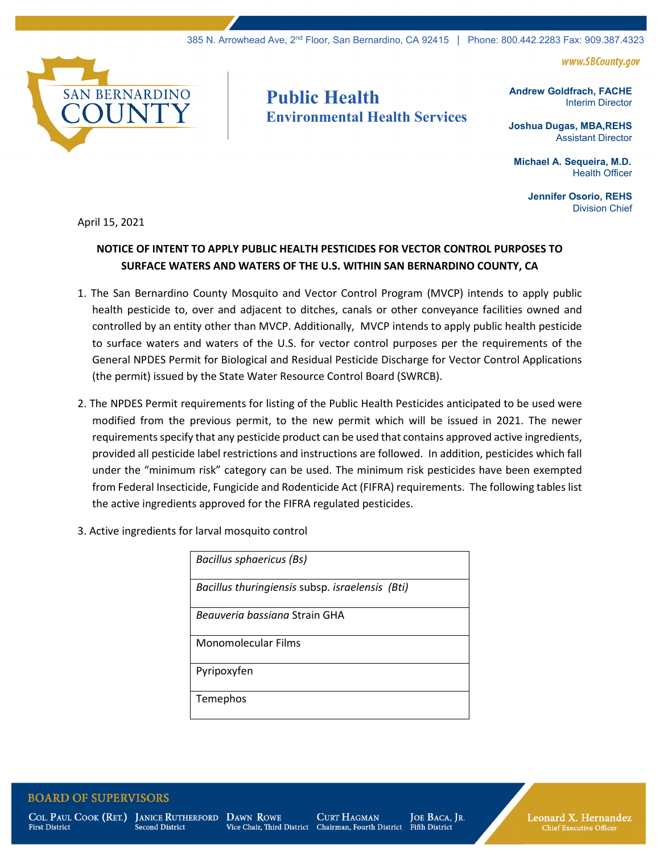www.SBCountv.aov



## **Public Health Environmental Health Services**

**Andrew Goldfrach, FACHE** Interim Director

**Joshua Dugas, MBA,REHS** Assistant Director

 **Michael A. Sequeira, M.D.** Health Officer

> **Jennifer Osorio, REHS** Division Chief

April 15, 2021

## **NOTICE OF INTENT TO APPLY PUBLIC HEALTH PESTICIDES FOR VECTOR CONTROL PURPOSES TO SURFACE WATERS AND WATERS OF THE U.S. WITHIN SAN BERNARDINO COUNTY, CA**

- 1. The San Bernardino County Mosquito and Vector Control Program (MVCP) intends to apply public health pesticide to, over and adjacent to ditches, canals or other conveyance facilities owned and controlled by an entity other than MVCP. Additionally, MVCP intends to apply public health pesticide to surface waters and waters of the U.S. for vector control purposes per the requirements of the General NPDES Permit for Biological and Residual Pesticide Discharge for Vector Control Applications (the permit) issued by the State Water Resource Control Board (SWRCB).
- 2. The NPDES Permit requirements for listing of the Public Health Pesticides anticipated to be used were modified from the previous permit, to the new permit which will be issued in 2021. The newer requirements specify that any pesticide product can be used that contains approved active ingredients, provided all pesticide label restrictions and instructions are followed. In addition, pesticides which fall under the "minimum risk" category can be used. The minimum risk pesticides have been exempted from Federal Insecticide, Fungicide and Rodenticide Act (FIFRA) requirements. The following tables list the active ingredients approved for the FIFRA regulated pesticides.
- 3. Active ingredients for larval mosquito control

| <b>Bacillus sphaericus (Bs)</b>                 |
|-------------------------------------------------|
| Bacillus thuringiensis subsp. israelensis (Bti) |
| <i>Bequveria bassiana</i> Strain GHA            |
| Monomolecular Films                             |
| Pyripoxyfen                                     |
| Temephos                                        |

**BOARD OF SUPERVISORS** 

**First District** 

COL. PAUL COOK (RET.) JANICE RUTHERFORD DAWN ROWE **Second District** 

Vice Chair, Third District

**CURT HAGMAN** Chairman, Fourth District

JOE BACA, JR. Fifth District

Leonard X. Hernandez **Chief Executive Officer**